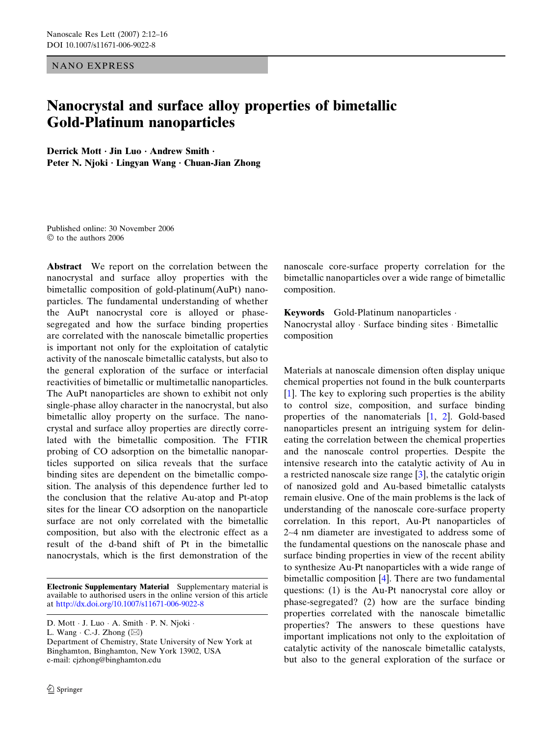NANO EXPRESS

## Nanocrystal and surface alloy properties of bimetallic Gold-Platinum nanoparticles

Derrick Mott · Jin Luo · Andrew Smith · Peter N. Njoki · Lingyan Wang · Chuan-Jian Zhong

Published online: 30 November 2006 to the authors 2006

Abstract We report on the correlation between the nanocrystal and surface alloy properties with the bimetallic composition of gold-platinum(AuPt) nanoparticles. The fundamental understanding of whether the AuPt nanocrystal core is alloyed or phasesegregated and how the surface binding properties are correlated with the nanoscale bimetallic properties is important not only for the exploitation of catalytic activity of the nanoscale bimetallic catalysts, but also to the general exploration of the surface or interfacial reactivities of bimetallic or multimetallic nanoparticles. The AuPt nanoparticles are shown to exhibit not only single-phase alloy character in the nanocrystal, but also bimetallic alloy property on the surface. The nanocrystal and surface alloy properties are directly correlated with the bimetallic composition. The FTIR probing of CO adsorption on the bimetallic nanoparticles supported on silica reveals that the surface binding sites are dependent on the bimetallic composition. The analysis of this dependence further led to the conclusion that the relative Au-atop and Pt-atop sites for the linear CO adsorption on the nanoparticle surface are not only correlated with the bimetallic composition, but also with the electronic effect as a result of the d-band shift of Pt in the bimetallic nanocrystals, which is the first demonstration of the

Electronic Supplementary Material Supplementary material is available to authorised users in the online version of this article at http://dx.doi.org/10.1007/s11671-006-9022-8

L. Wang  $\cdot$  C.-J. Zhong  $(\boxtimes)$ 

Department of Chemistry, State University of New York at Binghamton, Binghamton, New York 13902, USA e-mail: cjzhong@binghamton.edu

nanoscale core-surface property correlation for the bimetallic nanoparticles over a wide range of bimetallic composition.

Keywords Gold-Platinum nanoparticles · Nanocrystal alloy  $\cdot$  Surface binding sites  $\cdot$  Bimetallic composition

Materials at nanoscale dimension often display unique chemical properties not found in the bulk counterparts [[1\]](#page-4-0). The key to exploring such properties is the ability to control size, composition, and surface binding properties of the nanomaterials [\[1](#page-4-0), [2](#page-4-0)]. Gold-based nanoparticles present an intriguing system for delineating the correlation between the chemical properties and the nanoscale control properties. Despite the intensive research into the catalytic activity of Au in a restricted nanoscale size range [[3](#page-4-0)], the catalytic origin of nanosized gold and Au-based bimetallic catalysts remain elusive. One of the main problems is the lack of understanding of the nanoscale core-surface property correlation. In this report, Au-Pt nanoparticles of 2~4 nm diameter are investigated to address some of the fundamental questions on the nanoscale phase and surface binding properties in view of the recent ability to synthesize Au-Pt nanoparticles with a wide range of bimetallic composition [[4\]](#page-4-0). There are two fundamental questions: (1) is the Au-Pt nanocrystal core alloy or phase-segregated? (2) how are the surface binding properties correlated with the nanoscale bimetallic properties? The answers to these questions have important implications not only to the exploitation of catalytic activity of the nanoscale bimetallic catalysts, but also to the general exploration of the surface or

D. Mott · J. Luo · A. Smith · P. N. Njoki ·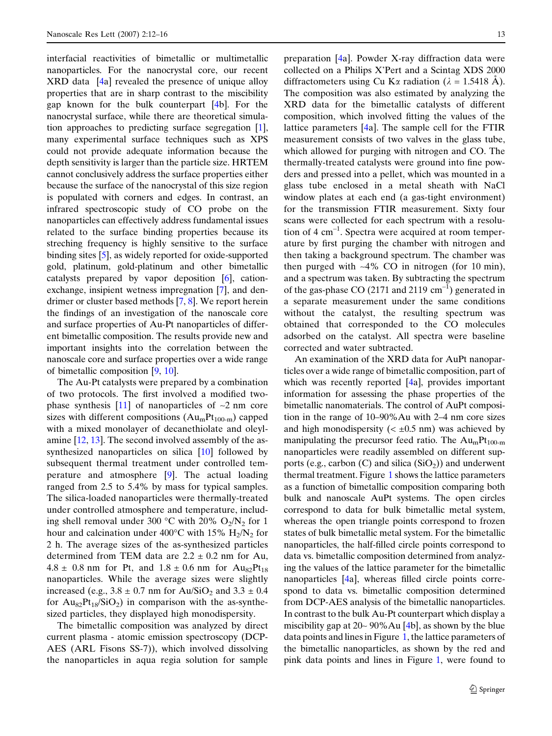interfacial reactivities of bimetallic or multimetallic nanoparticles. For the nanocrystal core, our recent XRD data [\[4a](#page-4-0)] revealed the presence of unique alloy properties that are in sharp contrast to the miscibility gap known for the bulk counterpart [[4b](#page-4-0)]. For the nanocrystal surface, while there are theoretical simulation approaches to predicting surface segregation [[1\]](#page-4-0), many experimental surface techniques such as XPS could not provide adequate information because the depth sensitivity is larger than the particle size. HRTEM cannot conclusively address the surface properties either because the surface of the nanocrystal of this size region is populated with corners and edges. In contrast, an infrared spectroscopic study of CO probe on the nanoparticles can effectively address fundamental issues related to the surface binding properties because its streching frequency is highly sensitive to the surface binding sites [\[5](#page-4-0)], as widely reported for oxide-supported gold, platinum, gold-platinum and other bimetallic catalysts prepared by vapor deposition [[6\]](#page-4-0), cationexchange, insipient wetness impregnation [\[7](#page-4-0)], and dendrimer or cluster based methods [[7](#page-4-0), [8](#page-4-0)]. We report herein the findings of an investigation of the nanoscale core and surface properties of Au-Pt nanoparticles of different bimetallic composition. The results provide new and important insights into the correlation between the nanoscale core and surface properties over a wide range of bimetallic composition [\[9,](#page-4-0) [10\]](#page-4-0).

The Au-Pt catalysts were prepared by a combination of two protocols. The first involved a modified twophase synthesis  $[11]$  $[11]$  of nanoparticles of  $-2$  nm core sizes with different compositions  $(Au_mPt_{100-m})$  capped with a mixed monolayer of decanethiolate and oleylamine [[12,](#page-4-0) [13\]](#page-4-0). The second involved assembly of the assynthesized nanoparticles on silica [\[10](#page-4-0)] followed by subsequent thermal treatment under controlled temperature and atmosphere [[9\]](#page-4-0). The actual loading ranged from 2.5 to 5.4% by mass for typical samples. The silica-loaded nanoparticles were thermally-treated under controlled atmosphere and temperature, including shell removal under 300 °C with 20%  $O_2/N_2$  for 1 hour and calcination under  $400^{\circ}$ C with 15%  $H_2/N_2$  for 2 h. The average sizes of the as-synthesized particles determined from TEM data are  $2.2 \pm 0.2$  nm for Au,  $4.8 \pm 0.8$  nm for Pt, and  $1.8 \pm 0.6$  nm for  $Au_{82}Pt_{18}$ nanoparticles. While the average sizes were slightly increased (e.g.,  $3.8 \pm 0.7$  nm for Au/SiO<sub>2</sub> and  $3.3 \pm 0.4$ for  $Au_{82}Pt_{18}/SiO_2$ ) in comparison with the as-synthesized particles, they displayed high monodispersity.

The bimetallic composition was analyzed by direct current plasma - atomic emission spectroscopy (DCP-AES (ARL Fisons SS-7)), which involved dissolving the nanoparticles in aqua regia solution for sample preparation [[4a](#page-4-0)]. Powder X-ray diffraction data were collected on a Philips X'Pert and a Scintag XDS 2000 diffractometers using Cu K $\alpha$  radiation ( $\lambda = 1.5418$  Å). The composition was also estimated by analyzing the XRD data for the bimetallic catalysts of different composition, which involved fitting the values of the lattice parameters [[4a](#page-4-0)]. The sample cell for the FTIR measurement consists of two valves in the glass tube, which allowed for purging with nitrogen and CO. The thermally-treated catalysts were ground into fine powders and pressed into a pellet, which was mounted in a glass tube enclosed in a metal sheath with NaCl window plates at each end (a gas-tight environment) for the transmission FTIR measurement. Sixty four scans were collected for each spectrum with a resolution of  $4 \text{ cm}^{-1}$ . Spectra were acquired at room temperature by first purging the chamber with nitrogen and then taking a background spectrum. The chamber was then purged with ~4% CO in nitrogen (for 10 min), and a spectrum was taken. By subtracting the spectrum of the gas-phase CO (2171 and 2119  $\text{cm}^{-1}$ ) generated in a separate measurement under the same conditions without the catalyst, the resulting spectrum was obtained that corresponded to the CO molecules adsorbed on the catalyst. All spectra were baseline corrected and water subtracted.

An examination of the XRD data for AuPt nanoparticles over a wide range of bimetallic composition, part of which was recently reported [[4a](#page-4-0)], provides important information for assessing the phase properties of the bimetallic nanomaterials. The control of AuPt composition in the range of 10–90%Au with 2–4 nm core sizes and high monodispersity ( $\lt \pm 0.5$  nm) was achieved by manipulating the precursor feed ratio. The  $Au_mPt_{100-m}$ nanoparticles were readily assembled on different supports (e.g., carbon  $(C)$  and silica  $(SiO<sub>2</sub>)$ ) and underwent thermal treatment. Figure [1](#page-2-0) shows the lattice parameters as a function of bimetallic composition comparing both bulk and nanoscale AuPt systems. The open circles correspond to data for bulk bimetallic metal system, whereas the open triangle points correspond to frozen states of bulk bimetallic metal system. For the bimetallic nanoparticles, the half-filled circle points correspond to data vs. bimetallic composition determined from analyzing the values of the lattice parameter for the bimetallic nanoparticles [\[4a](#page-4-0)], whereas filled circle points correspond to data vs. bimetallic composition determined from DCP-AES analysis of the bimetallic nanoparticles. In contrast to the bulk Au-Pt counterpart which display a miscibility gap at 20~ 90%Au [[4b](#page-4-0)], as shown by the blue data points and lines in Figure [1](#page-2-0), the lattice parameters of the bimetallic nanoparticles, as shown by the red and pink data points and lines in Figure [1](#page-2-0), were found to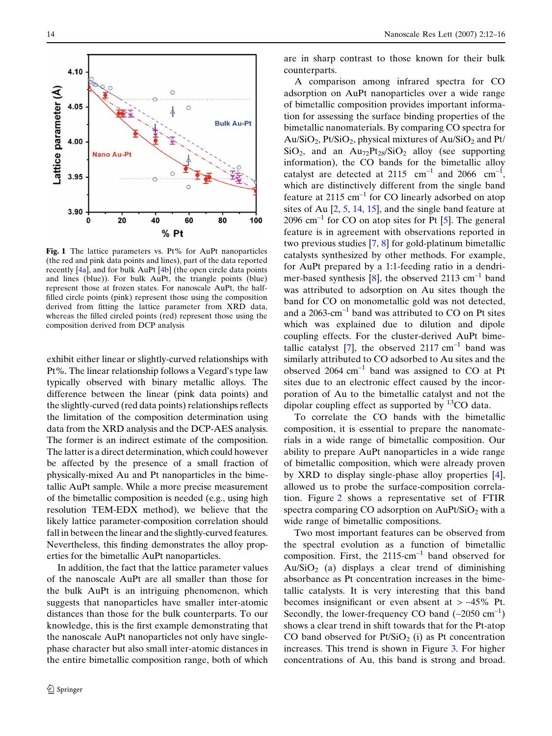<span id="page-2-0"></span>

Fig. 1 The lattice parameters vs. Pt% for AuPt nanoparticles (the red and pink data points and lines), part of the data reported recently [\[4a](#page-4-0)], and for bulk AuPt [[4b](#page-4-0)] (the open circle data points and lines (blue)). For bulk AuPt, the triangle points (blue) represent those at frozen states. For nanoscale AuPt, the halffilled circle points (pink) represent those using the composition derived from fitting the lattice parameter from XRD data, whereas the filled circled points (red) represent those using the composition derived from DCP analysis

exhibit either linear or slightly-curved relationships with Pt%. The linear relationship follows a Vegard's type law typically observed with binary metallic alloys. The difference between the linear (pink data points) and the slightly-curved (red data points) relationships reflects the limitation of the composition determination using data from the XRD analysis and the DCP-AES analysis. The former is an indirect estimate of the composition. The latter is a direct determination, which could however be affected by the presence of a small fraction of physically-mixed Au and Pt nanoparticles in the bimetallic AuPt sample. While a more precise measurement of the bimetallic composition is needed (e.g., using high resolution TEM-EDX method), we believe that the likely lattice parameter-composition correlation should fall in between the linear and the slightly-curved features. Nevertheless, this finding demonstrates the alloy properties for the bimetallic AuPt nanoparticles.

In addition, the fact that the lattice parameter values of the nanoscale AuPt are all smaller than those for the bulk AuPt is an intriguing phenomenon, which suggests that nanoparticles have smaller inter-atomic distances than those for the bulk counterparts. To our knowledge, this is the first example demonstrating that the nanoscale AuPt nanoparticles not only have singlephase character but also small inter-atomic distances in the entire bimetallic composition range, both of which

are in sharp contrast to those known for their bulk counterparts.

A comparison among infrared spectra for CO adsorption on AuPt nanoparticles over a wide range of bimetallic composition provides important information for assessing the surface binding properties of the bimetallic nanomaterials. By comparing CO spectra for  $Au/SiO<sub>2</sub>$ , Pt/SiO<sub>2</sub>, physical mixtures of  $Au/SiO<sub>2</sub>$  and Pt/  $SiO<sub>2</sub>$ , and an  $Au<sub>72</sub>Pt<sub>28</sub>/SiO<sub>2</sub>$  alloy (see supporting information), the CO bands for the bimetallic alloy catalyst are detected at 2115  $cm^{-1}$  and 2066  $cm^{-1}$ , which are distinctively different from the single band feature at  $2115 \text{ cm}^{-1}$  for CO linearly adsorbed on atop sites of Au [[2,](#page-4-0) [5](#page-4-0), [14,](#page-4-0) [15\]](#page-4-0), and the single band feature at  $2096$  cm<sup>-1</sup> for CO on atop sites for Pt [\[5](#page-4-0)]. The general feature is in agreement with observations reported in two previous studies [\[7](#page-4-0), [8](#page-4-0)] for gold-platinum bimetallic catalysts synthesized by other methods. For example, for AuPt prepared by a 1:1-feeding ratio in a dendri-mer-based synthesis [\[8](#page-4-0)], the observed 2113  $\text{cm}^{-1}$  band was attributed to adsorption on Au sites though the band for CO on monometallic gold was not detected, and a  $2063$ -cm<sup>-1</sup> band was attributed to CO on Pt sites which was explained due to dilution and dipole coupling effects. For the cluster-derived AuPt bime-tallic catalyst [\[7](#page-4-0)], the observed  $2117 \text{ cm}^{-1}$  band was similarly attributed to CO adsorbed to Au sites and the observed  $2064 \text{ cm}^{-1}$  band was assigned to CO at Pt sites due to an electronic effect caused by the incorporation of Au to the bimetallic catalyst and not the dipolar coupling effect as supported by  ${}^{13}CO$  data.

To correlate the CO bands with the bimetallic composition, it is essential to prepare the nanomaterials in a wide range of bimetallic composition. Our ability to prepare AuPt nanoparticles in a wide range of bimetallic composition, which were already proven by XRD to display single-phase alloy properties [[4\]](#page-4-0), allowed us to probe the surface-composition correlation. Figure [2](#page-3-0) shows a representative set of FTIR spectra comparing CO adsorption on  $AuPt/SiO<sub>2</sub>$  with a wide range of bimetallic compositions.

Two most important features can be observed from the spectral evolution as a function of bimetallic composition. First, the  $2115 \text{-cm}^{-1}$  band observed for  $Au/SiO<sub>2</sub>$  (a) displays a clear trend of diminishing absorbance as Pt concentration increases in the bimetallic catalysts. It is very interesting that this band becomes insignificant or even absent at  $>$  ~45% Pt. Secondly, the lower-frequency CO band  $(-2050 \text{ cm}^{-1})$ shows a clear trend in shift towards that for the Pt-atop CO band observed for  $Pt/SiO<sub>2</sub>$  (i) as Pt concentration increases. This trend is shown in Figure [3.](#page-3-0) For higher concentrations of Au, this band is strong and broad.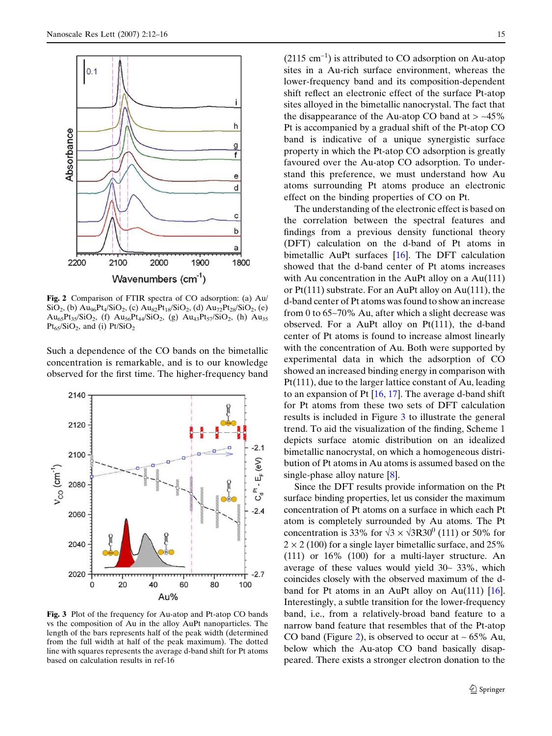<span id="page-3-0"></span>

Fig. 2 Comparison of FTIR spectra of CO adsorption: (a) Au/  $\text{SiO}_2$ , (b)  $\text{Au}_{96}\text{Pt}_4/\text{SiO}_2$ , (c)  $\text{Au}_{82}\text{Pt}_{18}/\text{SiO}_2$ , (d)  $\text{Au}_{72}\text{Pt}_{28}/\text{SiO}_2$ , (e)  $Au_{65}Pt_{35}/SiO_2$ , (f)  $Au_{56}Pt_{44}/SiO_2$ , (g)  $Au_{43}Pt_{57}/SiO_2$ , (h)  $Au_{35}$  $Pt_{65}/SiO_2$ , and (i)  $Pt/SiO_2$ 

Such a dependence of the CO bands on the bimetallic concentration is remarkable, and is to our knowledge observed for the first time. The higher-frequency band



Fig. 3 Plot of the frequency for Au-atop and Pt-atop CO bands vs the composition of Au in the alloy AuPt nanoparticles. The length of the bars represents half of the peak width (determined from the full width at half of the peak maximum). The dotted line with squares represents the average d-band shift for Pt atoms based on calculation results in ref-16

 $(2115 \text{ cm}^{-1})$  is attributed to CO adsorption on Au-atop sites in a Au-rich surface environment, whereas the lower-frequency band and its composition-dependent shift reflect an electronic effect of the surface Pt-atop sites alloyed in the bimetallic nanocrystal. The fact that the disappearance of the Au-atop CO band at  $>$  ~45% Pt is accompanied by a gradual shift of the Pt-atop CO band is indicative of a unique synergistic surface property in which the Pt-atop CO adsorption is greatly favoured over the Au-atop CO adsorption. To understand this preference, we must understand how Au atoms surrounding Pt atoms produce an electronic effect on the binding properties of CO on Pt.

The understanding of the electronic effect is based on the correlation between the spectral features and findings from a previous density functional theory (DFT) calculation on the d-band of Pt atoms in bimetallic AuPt surfaces [\[16](#page-4-0)]. The DFT calculation showed that the d-band center of Pt atoms increases with Au concentration in the AuPt alloy on a Au(111) or Pt(111) substrate. For an AuPt alloy on Au(111), the d-band center of Pt atoms was found to show an increase from 0 to 65~70% Au, after which a slight decrease was observed. For a AuPt alloy on Pt(111), the d-band center of Pt atoms is found to increase almost linearly with the concentration of Au. Both were supported by experimental data in which the adsorption of CO showed an increased binding energy in comparison with Pt(111), due to the larger lattice constant of Au, leading to an expansion of Pt  $[16, 17]$  $[16, 17]$  $[16, 17]$  $[16, 17]$ . The average d-band shift for Pt atoms from these two sets of DFT calculation results is included in Figure 3 to illustrate the general trend. To aid the visualization of the finding, Scheme 1 depicts surface atomic distribution on an idealized bimetallic nanocrystal, on which a homogeneous distribution of Pt atoms in Au atoms is assumed based on the single-phase alloy nature [[8\]](#page-4-0).

Since the DFT results provide information on the Pt surface binding properties, let us consider the maximum concentration of Pt atoms on a surface in which each Pt atom is completely surrounded by Au atoms. The Pt concentration is 33% for  $\sqrt{3} \times \sqrt{3R}30^0$  (111) or 50% for  $2 \times 2$  (100) for a single layer bimetallic surface, and 25% (111) or 16% (100) for a multi-layer structure. An average of these values would yield  $30-33\%$ , which coincides closely with the observed maximum of the dband for Pt atoms in an AuPt alloy on Au $(111)$  [\[16\]](#page-4-0). Interestingly, a subtle transition for the lower-frequency band, i.e., from a relatively-broad band feature to a narrow band feature that resembles that of the Pt-atop CO band (Figure 2), is observed to occur at  $\sim 65\%$  Au, below which the Au-atop CO band basically disappeared. There exists a stronger electron donation to the